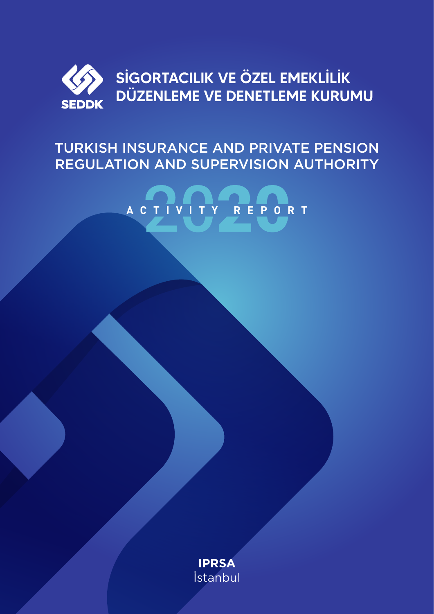

# TURKISH INSURANCE AND PRIVATE PENSION REGULATION AND SUPERVISION AUTHORITY



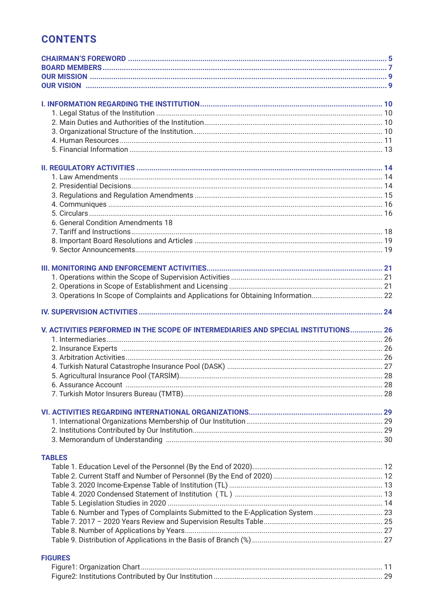## **CONTENTS**

| 6. General Condition Amendments 18                                                 |  |
|------------------------------------------------------------------------------------|--|
|                                                                                    |  |
|                                                                                    |  |
|                                                                                    |  |
|                                                                                    |  |
|                                                                                    |  |
|                                                                                    |  |
|                                                                                    |  |
|                                                                                    |  |
|                                                                                    |  |
|                                                                                    |  |
| V. ACTIVITIES PERFORMED IN THE SCOPE OF INTERMEDIARIES AND SPECIAL INSTITUTIONS 26 |  |
|                                                                                    |  |
|                                                                                    |  |
|                                                                                    |  |
|                                                                                    |  |
|                                                                                    |  |
|                                                                                    |  |
|                                                                                    |  |
|                                                                                    |  |
|                                                                                    |  |
|                                                                                    |  |
|                                                                                    |  |
|                                                                                    |  |
|                                                                                    |  |
|                                                                                    |  |
| <b>TABLES</b>                                                                      |  |
|                                                                                    |  |
|                                                                                    |  |
|                                                                                    |  |
|                                                                                    |  |
|                                                                                    |  |
| Table 6. Number and Types of Complaints Submitted to the E-Application System 23   |  |
|                                                                                    |  |
|                                                                                    |  |
|                                                                                    |  |
| <b>FIGURES</b>                                                                     |  |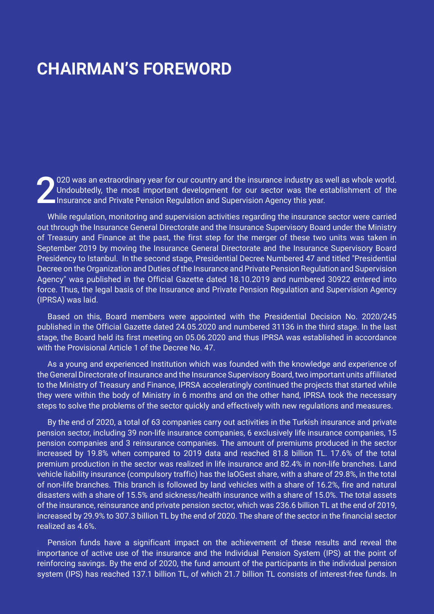# **CHAIRMAN'S FOREWORD**

2020 was an extraordinary year for our country and the insurance industry as well as whole world.<br>Undoubtedly, the most important development for our sector was the establishment of the<br>Insurance and Private Pension Regula Undoubtedly, the most important development for our sector was the establishment of the **Insurance and Private Pension Regulation and Supervision Agency this year.** 

While regulation, monitoring and supervision activities regarding the insurance sector were carried out through the Insurance General Directorate and the Insurance Supervisory Board under the Ministry of Treasury and Finance at the past, the first step for the merger of these two units was taken in September 2019 by moving the Insurance General Directorate and the Insurance Supervisory Board Presidency to Istanbul. In the second stage, Presidential Decree Numbered 47 and titled "Presidential Decree on the Organization and Duties of the Insurance and Private Pension Regulation and Supervision Agency" was published in the Official Gazette dated 18.10.2019 and numbered 30922 entered into force. Thus, the legal basis of the Insurance and Private Pension Regulation and Supervision Agency (IPRSA) was laid.

Based on this, Board members were appointed with the Presidential Decision No. 2020/245 published in the Official Gazette dated 24.05.2020 and numbered 31136 in the third stage. In the last stage, the Board held its first meeting on 05.06.2020 and thus IPRSA was established in accordance with the Provisional Article 1 of the Decree No. 47.

As a young and experienced Institution which was founded with the knowledge and experience of the General Directorate of Insurance and the Insurance Supervisory Board, two important units affiliated to the Ministry of Treasury and Finance, IPRSA acceleratingly continued the projects that started while they were within the body of Ministry in 6 months and on the other hand, IPRSA took the necessary steps to solve the problems of the sector quickly and effectively with new regulations and measures.

By the end of 2020, a total of 63 companies carry out activities in the Turkish insurance and private pension sector, including 39 non-life insurance companies, 6 exclusively life insurance companies, 15 pension companies and 3 reinsurance companies. The amount of premiums produced in the sector increased by 19.8% when compared to 2019 data and reached 81.8 billion TL. 17.6% of the total premium production in the sector was realized in life insurance and 82.4% in non-life branches. Land vehicle liability insurance (compulsory traffic) has the laOGest share, with a share of 29.8%, in the total of non-life branches. This branch is followed by land vehicles with a share of 16.2%, fire and natural disasters with a share of 15.5% and sickness/health insurance with a share of 15.0%. The total assets of the insurance, reinsurance and private pension sector, which was 236.6 billion TL at the end of 2019, increased by 29.9% to 307.3 billion TL by the end of 2020. The share of the sector in the financial sector realized as 4.6%.

Pension funds have a significant impact on the achievement of these results and reveal the importance of active use of the insurance and the Individual Pension System (IPS) at the point of reinforcing savings. By the end of 2020, the fund amount of the participants in the individual pension system (IPS) has reached 137.1 billion TL, of which 21.7 billion TL consists of interest-free funds. In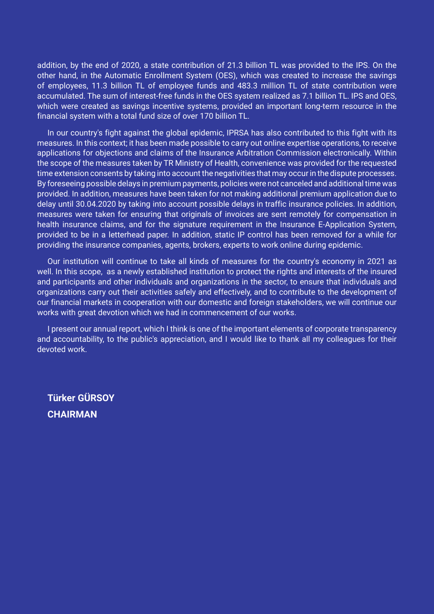addition, by the end of 2020, a state contribution of 21.3 billion TL was provided to the IPS. On the other hand, in the Automatic Enrollment System (OES), which was created to increase the savings of employees, 11.3 billion TL of employee funds and 483.3 million TL of state contribution were accumulated. The sum of interest-free funds in the OES system realized as 7.1 billion TL. IPS and OES, which were created as savings incentive systems, provided an important long-term resource in the financial system with a total fund size of over 170 billion TL.

In our country's fight against the global epidemic, IPRSA has also contributed to this fight with its measures. In this context; it has been made possible to carry out online expertise operations, to receive applications for objections and claims of the Insurance Arbitration Commission electronically. Within the scope of the measures taken by TR Ministry of Health, convenience was provided for the requested time extension consents by taking into account the negativities that may occur in the dispute processes. By foreseeing possible delays in premium payments, policies were not canceled and additional time was provided. In addition, measures have been taken for not making additional premium application due to delay until 30.04.2020 by taking into account possible delays in traffic insurance policies. In addition, measures were taken for ensuring that originals of invoices are sent remotely for compensation in health insurance claims, and for the signature requirement in the Insurance E-Application System, provided to be in a letterhead paper. In addition, static IP control has been removed for a while for providing the insurance companies, agents, brokers, experts to work online during epidemic.

Our institution will continue to take all kinds of measures for the country's economy in 2021 as well. In this scope, as a newly established institution to protect the rights and interests of the insured and participants and other individuals and organizations in the sector, to ensure that individuals and organizations carry out their activities safely and effectively, and to contribute to the development of our financial markets in cooperation with our domestic and foreign stakeholders, we will continue our works with great devotion which we had in commencement of our works.

I present our annual report, which I think is one of the important elements of corporate transparency and accountability, to the public's appreciation, and I would like to thank all my colleagues for their devoted work.

**Türker GÜRSOY CHAIRMAN**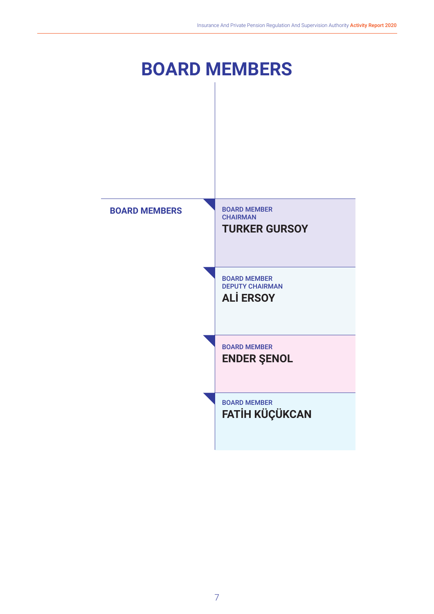# **BOARD MEMBERS**

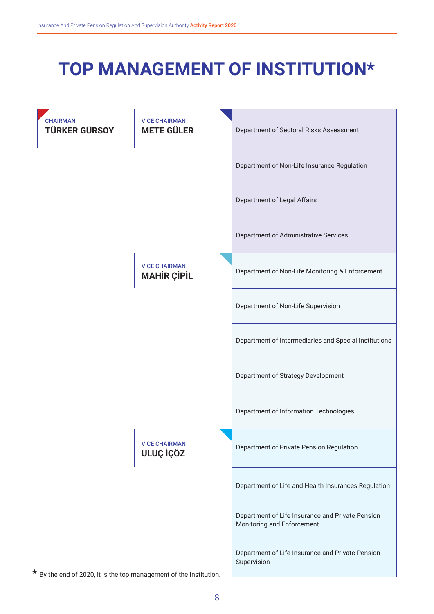# **TOP MANAGEMENT OF INSTITUTION\***

| <b>CHAIRMAN</b><br><b>TÜRKER GÜRSOY</b> | <b>VICE CHAIRMAN</b><br><b>METE GÜLER</b>  | Department of Sectoral Risks Assessment                                        |
|-----------------------------------------|--------------------------------------------|--------------------------------------------------------------------------------|
|                                         |                                            | Department of Non-Life Insurance Regulation                                    |
|                                         |                                            | Department of Legal Affairs                                                    |
|                                         |                                            | Department of Administrative Services                                          |
|                                         | <b>VICE CHAIRMAN</b><br><b>MAHIR ÇİPİL</b> | Department of Non-Life Monitoring & Enforcement                                |
|                                         |                                            | Department of Non-Life Supervision                                             |
|                                         |                                            | Department of Intermediaries and Special Institutions                          |
|                                         |                                            | Department of Strategy Development                                             |
|                                         |                                            | Department of Information Technologies                                         |
|                                         | <b>VICE CHAIRMAN</b><br>ULUÇ İÇÖZ          | Department of Private Pension Regulation                                       |
|                                         |                                            | Department of Life and Health Insurances Regulation                            |
|                                         |                                            | Department of Life Insurance and Private Pension<br>Monitoring and Enforcement |
|                                         |                                            | Department of Life Insurance and Private Pension<br>Supervision                |

\* By the end of 2020, it is the top management of the Institution.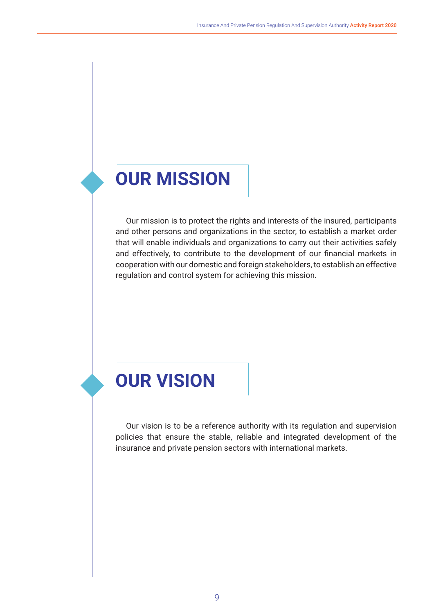# **OUR MISSION**

Our mission is to protect the rights and interests of the insured, participants and other persons and organizations in the sector, to establish a market order that will enable individuals and organizations to carry out their activities safely and effectively, to contribute to the development of our financial markets in cooperation with our domestic and foreign stakeholders, to establish an effective regulation and control system for achieving this mission.

# **OUR VISION**

Our vision is to be a reference authority with its regulation and supervision policies that ensure the stable, reliable and integrated development of the insurance and private pension sectors with international markets.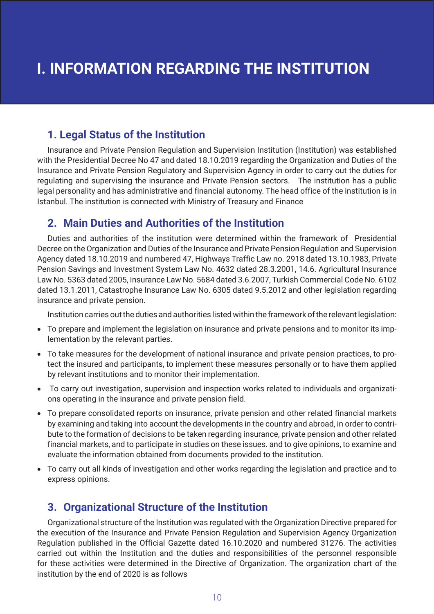## **1. Legal Status of the Institution**

Insurance and Private Pension Regulation and Supervision Institution (Institution) was established with the Presidential Decree No 47 and dated 18.10.2019 regarding the Organization and Duties of the Insurance and Private Pension Regulatory and Supervision Agency in order to carry out the duties for regulating and supervising the insurance and Private Pension sectors. The institution has a public legal personality and has administrative and financial autonomy. The head office of the institution is in Istanbul. The institution is connected with Ministry of Treasury and Finance

## **2. Main Duties and Authorities of the Institution**

Duties and authorities of the institution were determined within the framework of Presidential Decree on the Organization and Duties of the Insurance and Private Pension Regulation and Supervision Agency dated 18.10.2019 and numbered 47, Highways Traffic Law no. 2918 dated 13.10.1983, Private Pension Savings and Investment System Law No. 4632 dated 28.3.2001, 14.6. Agricultural Insurance Law No. 5363 dated 2005, Insurance Law No. 5684 dated 3.6.2007, Turkish Commercial Code No. 6102 dated 13.1.2011, Catastrophe Insurance Law No. 6305 dated 9.5.2012 and other legislation regarding insurance and private pension.

Institution carries out the duties and authorities listed within the framework of the relevant legislation:

- To prepare and implement the legislation on insurance and private pensions and to monitor its implementation by the relevant parties.
- To take measures for the development of national insurance and private pension practices, to protect the insured and participants, to implement these measures personally or to have them applied by relevant institutions and to monitor their implementation.
- To carry out investigation, supervision and inspection works related to individuals and organizations operating in the insurance and private pension field.
- To prepare consolidated reports on insurance, private pension and other related financial markets by examining and taking into account the developments in the country and abroad, in order to contribute to the formation of decisions to be taken regarding insurance, private pension and other related financial markets, and to participate in studies on these issues. and to give opinions, to examine and evaluate the information obtained from documents provided to the institution.
- To carry out all kinds of investigation and other works regarding the legislation and practice and to express opinions.

# **3. Organizational Structure of the Institution**

Organizational structure of the Institution was regulated with the Organization Directive prepared for the execution of the Insurance and Private Pension Regulation and Supervision Agency Organization Regulation published in the Official Gazette dated 16.10.2020 and numbered 31276. The activities carried out within the Institution and the duties and responsibilities of the personnel responsible for these activities were determined in the Directive of Organization. The organization chart of the institution by the end of 2020 is as follows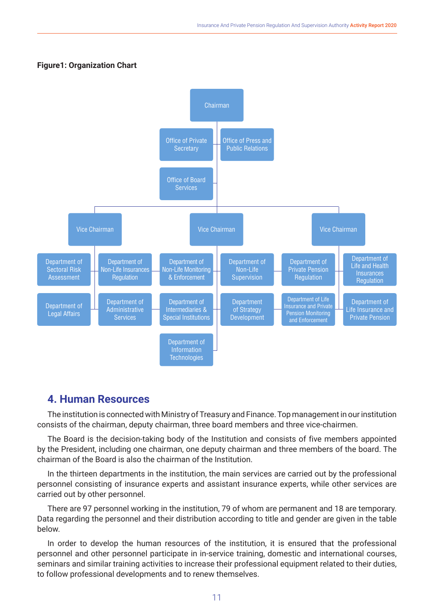#### **Figure1: Organization Chart**



## **4. Human Resources**

The institution is connected with Ministry of Treasury and Finance. Top management in our institution consists of the chairman, deputy chairman, three board members and three vice-chairmen.

The Board is the decision-taking body of the Institution and consists of five members appointed by the President, including one chairman, one deputy chairman and three members of the board. The chairman of the Board is also the chairman of the Institution.

In the thirteen departments in the institution, the main services are carried out by the professional personnel consisting of insurance experts and assistant insurance experts, while other services are carried out by other personnel.

There are 97 personnel working in the institution, 79 of whom are permanent and 18 are temporary. Data regarding the personnel and their distribution according to title and gender are given in the table below.

In order to develop the human resources of the institution, it is ensured that the professional personnel and other personnel participate in in-service training, domestic and international courses, seminars and similar training activities to increase their professional equipment related to their duties, to follow professional developments and to renew themselves.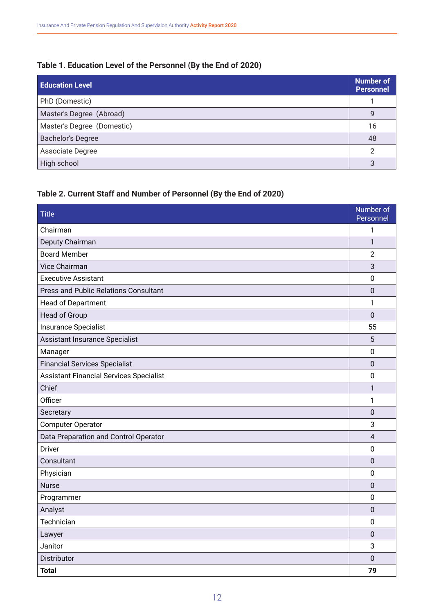## **Table 1. Education Level of the Personnel (By the End of 2020)**

| <b>Education Level</b>     | <b>Number of</b><br><b>Personnel</b> |
|----------------------------|--------------------------------------|
| PhD (Domestic)             |                                      |
| Master's Degree (Abroad)   | 9                                    |
| Master's Degree (Domestic) | 16                                   |
| <b>Bachelor's Degree</b>   | 48                                   |
| Associate Degree           | $\mathcal{P}$                        |
| High school                | 3                                    |

## **Table 2. Current Staff and Number of Personnel (By the End of 2020)**

| <b>Title</b>                                   | Number of<br>Personnel |
|------------------------------------------------|------------------------|
| Chairman                                       | 1                      |
| Deputy Chairman                                | $\mathbf{1}$           |
| <b>Board Member</b>                            | $\overline{2}$         |
| Vice Chairman                                  | 3                      |
| <b>Executive Assistant</b>                     | $\overline{0}$         |
| <b>Press and Public Relations Consultant</b>   | $\mathbf 0$            |
| Head of Department                             | 1                      |
| Head of Group                                  | $\mathbf 0$            |
| Insurance Specialist                           | 55                     |
| Assistant Insurance Specialist                 | 5                      |
| Manager                                        | $\mathbf 0$            |
| <b>Financial Services Specialist</b>           | $\pmb{0}$              |
| <b>Assistant Financial Services Specialist</b> | $\mathbf 0$            |
| Chief                                          | $\mathbf{1}$           |
| Officer                                        | 1                      |
| Secretary                                      | $\mathbf 0$            |
| <b>Computer Operator</b>                       | 3                      |
| Data Preparation and Control Operator          | $\overline{4}$         |
| Driver                                         | 0                      |
| Consultant                                     | $\mathbf 0$            |
| Physician                                      | $\pmb{0}$              |
| <b>Nurse</b>                                   | $\mathbf 0$            |
| Programmer                                     | $\overline{0}$         |
| Analyst                                        | $\pmb{0}$              |
| Technician                                     | $\mathbf 0$            |
| Lawyer                                         | $\mathbf 0$            |
| Janitor                                        | 3                      |
| Distributor                                    | 0                      |
| <b>Total</b>                                   | 79                     |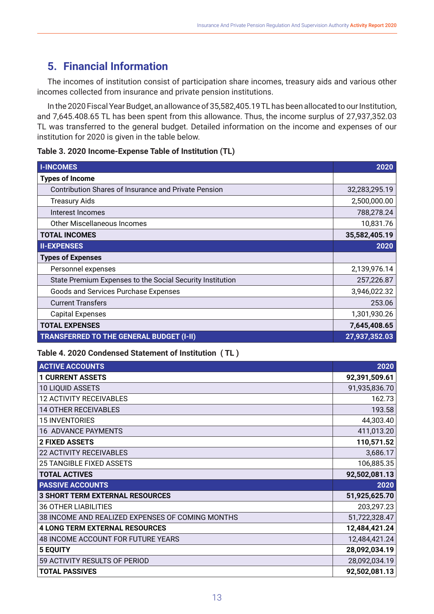# **5. Financial Information**

The incomes of institution consist of participation share incomes, treasury aids and various other incomes collected from insurance and private pension institutions.

In the 2020 Fiscal Year Budget, an allowance of 35,582,405.19 TL has been allocated to our Institution, and 7,645.408.65 TL has been spent from this allowance. Thus, the income surplus of 27,937,352.03 TL was transferred to the general budget. Detailed information on the income and expenses of our institution for 2020 is given in the table below.

|  |  | Table 3. 2020 Income-Expense Table of Institution (TL) |  |  |  |  |
|--|--|--------------------------------------------------------|--|--|--|--|
|--|--|--------------------------------------------------------|--|--|--|--|

| <b>I-INCOMES</b>                                            | 2020          |
|-------------------------------------------------------------|---------------|
| <b>Types of Income</b>                                      |               |
| <b>Contribution Shares of Insurance and Private Pension</b> | 32,283,295.19 |
| <b>Treasury Aids</b>                                        | 2,500,000.00  |
| Interest Incomes                                            | 788,278.24    |
| <b>Other Miscellaneous Incomes</b>                          | 10,831.76     |
| <b>TOTAL INCOMES</b>                                        | 35,582,405.19 |
| <b>II-EXPENSES</b>                                          | 2020          |
| <b>Types of Expenses</b>                                    |               |
| Personnel expenses                                          | 2,139,976.14  |
| State Premium Expenses to the Social Security Institution   | 257,226.87    |
| Goods and Services Purchase Expenses                        | 3,946,022.32  |
| <b>Current Transfers</b>                                    | 253.06        |
| <b>Capital Expenses</b>                                     | 1,301,930.26  |
| <b>TOTAL EXPENSES</b>                                       | 7,645,408.65  |
| <b>TRANSFERRED TO THE GENERAL BUDGET (I-II)</b>             | 27,937,352.03 |

#### **Table 4. 2020 Condensed Statement of Institution ( TL )**

| <b>ACTIVE ACCOUNTS</b>                           | 2020          |
|--------------------------------------------------|---------------|
| <b>1 CURRENT ASSETS</b>                          | 92,391,509.61 |
| <b>10 LIQUID ASSETS</b>                          | 91,935,836.70 |
| <b>12 ACTIVITY RECEIVABLES</b>                   | 162.73        |
| <b>14 OTHER RECEIVABLES</b>                      | 193.58        |
| <b>15 INVENTORIES</b>                            | 44,303.40     |
| <b>16 ADVANCE PAYMENTS</b>                       | 411,013.20    |
| <b>2 FIXED ASSETS</b>                            | 110,571.52    |
| <b>22 ACTIVITY RECEIVABLES</b>                   | 3,686.17      |
| <b>25 TANGIBLE FIXED ASSETS</b>                  | 106,885.35    |
| <b>TOTAL ACTIVES</b>                             | 92,502,081.13 |
| <b>PASSIVE ACCOUNTS</b>                          | 2020          |
| <b>3 SHORT TERM EXTERNAL RESOURCES</b>           | 51,925,625.70 |
| <b>36 OTHER LIABILITIES</b>                      | 203,297.23    |
| 38 INCOME AND REALIZED EXPENSES OF COMING MONTHS | 51,722,328.47 |
| <b>4 LONG TERM EXTERNAL RESOURCES</b>            | 12,484,421.24 |
| 48 INCOME ACCOUNT FOR FUTURE YEARS               | 12,484,421.24 |
| <b>5 EQUITY</b>                                  | 28,092,034.19 |
| 59 ACTIVITY RESULTS OF PERIOD                    | 28,092,034.19 |
| <b>TOTAL PASSIVES</b>                            | 92,502,081.13 |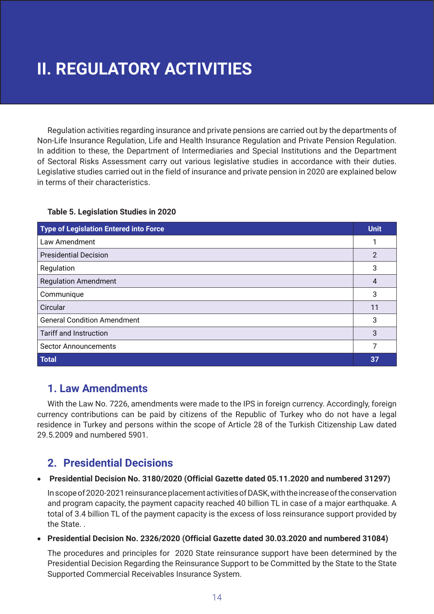# **II. REGULATORY ACTIVITIES**

Regulation activities regarding insurance and private pensions are carried out by the departments of Non-Life Insurance Regulation, Life and Health Insurance Regulation and Private Pension Regulation. In addition to these, the Department of Intermediaries and Special Institutions and the Department of Sectoral Risks Assessment carry out various legislative studies in accordance with their duties. Legislative studies carried out in the field of insurance and private pension in 2020 are explained below in terms of their characteristics.

### **Table 5. Legislation Studies in 2020**

| <b>Type of Legislation Entered into Force</b> | <b>Unit</b> |
|-----------------------------------------------|-------------|
| Law Amendment                                 |             |
| <b>Presidential Decision</b>                  | 2           |
| Regulation                                    | 3           |
| <b>Regulation Amendment</b>                   | 4           |
| Communique                                    | 3           |
| Circular                                      | 11          |
| <b>General Condition Amendment</b>            | 3           |
| <b>Tariff and Instruction</b>                 | 3           |
| <b>Sector Announcements</b>                   | 7           |
| <b>Total</b>                                  | 37          |

## **1. Law Amendments**

With the Law No. 7226, amendments were made to the IPS in foreign currency. Accordingly, foreign currency contributions can be paid by citizens of the Republic of Turkey who do not have a legal residence in Turkey and persons within the scope of Article 28 of the Turkish Citizenship Law dated 29.5.2009 and numbered 5901.

## **2. Presidential Decisions**

#### **Presidential Decision No. 3180/2020 (Official Gazette dated 05.11.2020 and numbered 31297)**

In scope of 2020-2021 reinsurance placement activities of DASK, with the increase of the conservation and program capacity, the payment capacity reached 40 billion TL in case of a major earthquake. A total of 3.4 billion TL of the payment capacity is the excess of loss reinsurance support provided by the State. .

#### • **Presidential Decision No. 2326/2020 (Official Gazette dated 30.03.2020 and numbered 31084)**

The procedures and principles for 2020 State reinsurance support have been determined by the Presidential Decision Regarding the Reinsurance Support to be Committed by the State to the State Supported Commercial Receivables Insurance System.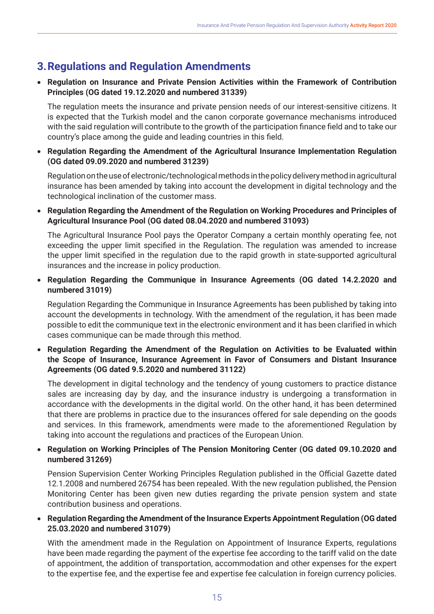# **3.Regulations and Regulation Amendments**

### • **Regulation on Insurance and Private Pension Activities within the Framework of Contribution Principles (OG dated 19.12.2020 and numbered 31339)**

 The regulation meets the insurance and private pension needs of our interest-sensitive citizens. It is expected that the Turkish model and the canon corporate governance mechanisms introduced with the said regulation will contribute to the growth of the participation finance field and to take our country's place among the guide and leading countries in this field.

• **Regulation Regarding the Amendment of the Agricultural Insurance Implementation Regulation (OG dated 09.09.2020 and numbered 31239)**

 Regulation on the use of electronic/technological methods in the policy delivery method in agricultural insurance has been amended by taking into account the development in digital technology and the technological inclination of the customer mass.

• **Regulation Regarding the Amendment of the Regulation on Working Procedures and Principles of Agricultural Insurance Pool (OG dated 08.04.2020 and numbered 31093)**

 The Agricultural Insurance Pool pays the Operator Company a certain monthly operating fee, not exceeding the upper limit specified in the Regulation. The regulation was amended to increase the upper limit specified in the regulation due to the rapid growth in state-supported agricultural insurances and the increase in policy production.

• **Regulation Regarding the Communique in Insurance Agreements (OG dated 14.2.2020 and numbered 31019)**

 Regulation Regarding the Communique in Insurance Agreements has been published by taking into account the developments in technology. With the amendment of the regulation, it has been made possible to edit the communique text in the electronic environment and it has been clarified in which cases communique can be made through this method.

• **Regulation Regarding the Amendment of the Regulation on Activities to be Evaluated within the Scope of Insurance, Insurance Agreement in Favor of Consumers and Distant Insurance Agreements (OG dated 9.5.2020 and numbered 31122)**

 The development in digital technology and the tendency of young customers to practice distance sales are increasing day by day, and the insurance industry is undergoing a transformation in accordance with the developments in the digital world. On the other hand, it has been determined that there are problems in practice due to the insurances offered for sale depending on the goods and services. In this framework, amendments were made to the aforementioned Regulation by taking into account the regulations and practices of the European Union.

### • **Regulation on Working Principles of The Pension Monitoring Center (OG dated 09.10.2020 and numbered 31269)**

Pension Supervision Center Working Principles Regulation published in the Official Gazette dated 12.1.2008 and numbered 26754 has been repealed. With the new regulation published, the Pension Monitoring Center has been given new duties regarding the private pension system and state contribution business and operations.

### • **Regulation Regarding the Amendment of the Insurance Experts Appointment Regulation (OG dated 25.03.2020 and numbered 31079)**

With the amendment made in the Regulation on Appointment of Insurance Experts, regulations have been made regarding the payment of the expertise fee according to the tariff valid on the date of appointment, the addition of transportation, accommodation and other expenses for the expert to the expertise fee, and the expertise fee and expertise fee calculation in foreign currency policies.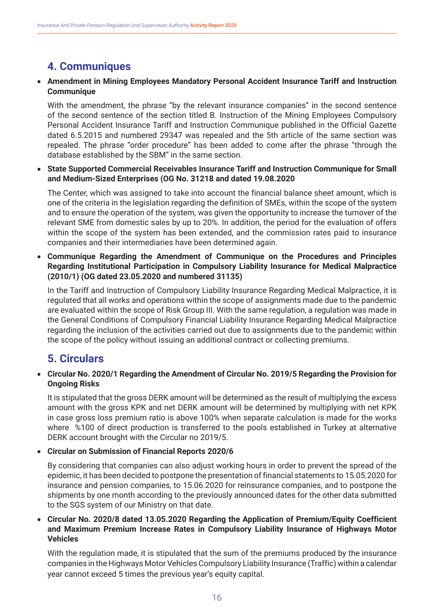# **4. Communiques**

### • **Amendment in Mining Employees Mandatory Personal Accident Insurance Tariff and Instruction Communique**

 With the amendment, the phrase "by the relevant insurance companies" in the second sentence of the second sentence of the section titled B. Instruction of the Mining Employees Compulsory Personal Accident Insurance Tariff and Instruction Communique published in the Official Gazette dated 6.5.2015 and numbered 29347 was repealed and the 5th article of the same section was repealed. The phrase "order procedure" has been added to come after the phrase "through the database established by the SBM" in the same section.

#### • **State Supported Commercial Receivables Insurance Tariff and Instruction Communique for Small and Medium-Sized Enterprises (OG No. 31218 and dated 19.08.2020**

The Center, which was assigned to take into account the financial balance sheet amount, which is one of the criteria in the legislation regarding the definition of SMEs, within the scope of the system and to ensure the operation of the system, was given the opportunity to increase the turnover of the relevant SME from domestic sales by up to 20%. In addition, the period for the evaluation of offers within the scope of the system has been extended, and the commission rates paid to insurance companies and their intermediaries have been determined again.

• **Communique Regarding the Amendment of Communique on the Procedures and Principles Regarding Institutional Participation in Compulsory Liability Insurance for Medical Malpractice (2010/1) (OG dated 23.05.2020 and numbered 31135)**

 In the Tariff and Instruction of Compulsory Liability Insurance Regarding Medical Malpractice, it is regulated that all works and operations within the scope of assignments made due to the pandemic are evaluated within the scope of Risk Group III. With the same regulation, a regulation was made in the General Conditions of Compulsory Financial Liability Insurance Regarding Medical Malpractice regarding the inclusion of the activities carried out due to assignments due to the pandemic within the scope of the policy without issuing an additional contract or collecting premiums.

# **5. Circulars**

### • **Circular No. 2020/1 Regarding the Amendment of Circular No. 2019/5 Regarding the Provision for Ongoing Risks**

 It is stipulated that the gross DERK amount will be determined as the result of multiplying the excess amount with the gross KPK and net DERK amount will be determined by multiplying with net KPK in case gross loss premium ratio is above 100% when separate calculation is made for the works where %100 of direct production is transferred to the pools established in Turkey at alternative DERK account brought with the Circular no 2019/5.

### • **Circular on Submission of Financial Reports 2020/6**

 By considering that companies can also adjust working hours in order to prevent the spread of the epidemic, it has been decided to postpone the presentation of financial statements to 15.05.2020 for insurance and pension companies, to 15.06.2020 for reinsurance companies, and to postpone the shipments by one month according to the previously announced dates for the other data submitted to the SGS system of our Ministry on that date.

### • **Circular No. 2020/8 dated 13.05.2020 Regarding the Application of Premium/Equity Coefficient and Maximum Premium Increase Rates in Compulsory Liability Insurance of Highways Motor Vehicles**

 With the regulation made, it is stipulated that the sum of the premiums produced by the insurance companies in the Highways Motor Vehicles Compulsory Liability Insurance (Traffic) within a calendar year cannot exceed 5 times the previous year's equity capital.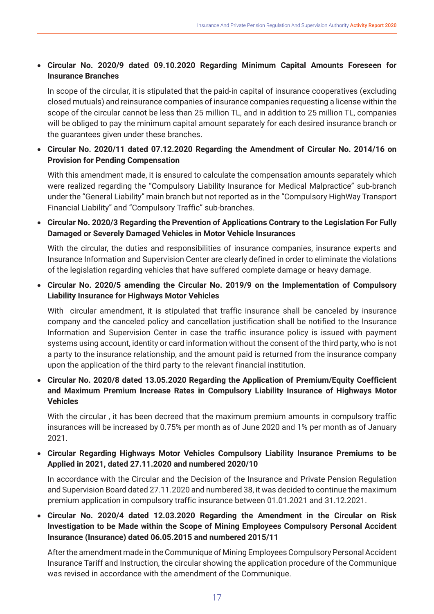## • **Circular No. 2020/9 dated 09.10.2020 Regarding Minimum Capital Amounts Foreseen for Insurance Branches**

 In scope of the circular, it is stipulated that the paid-in capital of insurance cooperatives (excluding closed mutuals) and reinsurance companies of insurance companies requesting a license within the scope of the circular cannot be less than 25 million TL, and in addition to 25 million TL, companies will be obliged to pay the minimum capital amount separately for each desired insurance branch or the guarantees given under these branches.

• **Circular No. 2020/11 dated 07.12.2020 Regarding the Amendment of Circular No. 2014/16 on Provision for Pending Compensation**

 With this amendment made, it is ensured to calculate the compensation amounts separately which were realized regarding the "Compulsory Liability Insurance for Medical Malpractice" sub-branch under the "General Liability" main branch but not reported as in the "Compulsory HighWay Transport Financial Liability" and "Compulsory Traffic" sub-branches.

• **Circular No. 2020/3 Regarding the Prevention of Applications Contrary to the Legislation For Fully Damaged or Severely Damaged Vehicles in Motor Vehicle Insurances**

 With the circular, the duties and responsibilities of insurance companies, insurance experts and Insurance Information and Supervision Center are clearly defined in order to eliminate the violations of the legislation regarding vehicles that have suffered complete damage or heavy damage.

• **Circular No. 2020/5 amending the Circular No. 2019/9 on the Implementation of Compulsory Liability Insurance for Highways Motor Vehicles**

 With circular amendment, it is stipulated that traffic insurance shall be canceled by insurance company and the canceled policy and cancellation justification shall be notified to the Insurance Information and Supervision Center in case the traffic insurance policy is issued with payment systems using account, identity or card information without the consent of the third party, who is not a party to the insurance relationship, and the amount paid is returned from the insurance company upon the application of the third party to the relevant financial institution.

• **Circular No. 2020/8 dated 13.05.2020 Regarding the Application of Premium/Equity Coefficient and Maximum Premium Increase Rates in Compulsory Liability Insurance of Highways Motor Vehicles**

 With the circular , it has been decreed that the maximum premium amounts in compulsory traffic insurances will be increased by 0.75% per month as of June 2020 and 1% per month as of January 2021.

• **Circular Regarding Highways Motor Vehicles Compulsory Liability Insurance Premiums to be Applied in 2021, dated 27.11.2020 and numbered 2020/10**

 In accordance with the Circular and the Decision of the Insurance and Private Pension Regulation and Supervision Board dated 27.11.2020 and numbered 38, it was decided to continue the maximum premium application in compulsory traffic insurance between 01.01.2021 and 31.12.2021.

• **Circular No. 2020/4 dated 12.03.2020 Regarding the Amendment in the Circular on Risk Investigation to be Made within the Scope of Mining Employees Compulsory Personal Accident Insurance (Insurance) dated 06.05.2015 and numbered 2015/11**

 After the amendment made in the Communique of Mining Employees Compulsory Personal Accident Insurance Tariff and Instruction, the circular showing the application procedure of the Communique was revised in accordance with the amendment of the Communique.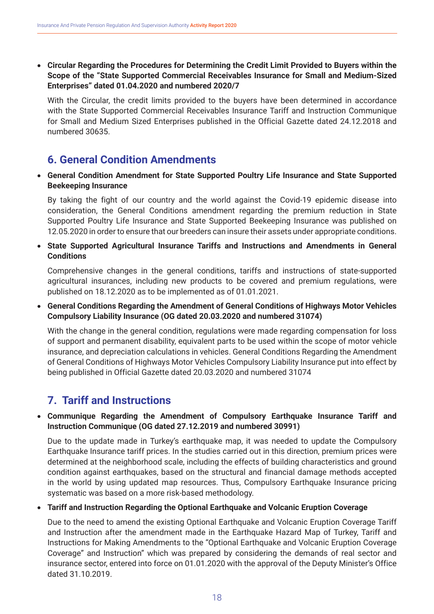• **Circular Regarding the Procedures for Determining the Credit Limit Provided to Buyers within the Scope of the "State Supported Commercial Receivables Insurance for Small and Medium-Sized Enterprises" dated 01.04.2020 and numbered 2020/7**

 With the Circular, the credit limits provided to the buyers have been determined in accordance with the State Supported Commercial Receivables Insurance Tariff and Instruction Communique for Small and Medium Sized Enterprises published in the Official Gazette dated 24.12.2018 and numbered 30635.

## **6. General Condition Amendments**

• **General Condition Amendment for State Supported Poultry Life Insurance and State Supported Beekeeping Insurance**

 By taking the fight of our country and the world against the Covid-19 epidemic disease into consideration, the General Conditions amendment regarding the premium reduction in State Supported Poultry Life Insurance and State Supported Beekeeping Insurance was published on 12.05.2020 in order to ensure that our breeders can insure their assets under appropriate conditions.

• **State Supported Agricultural Insurance Tariffs and Instructions and Amendments in General Conditions**

 Comprehensive changes in the general conditions, tariffs and instructions of state-supported agricultural insurances, including new products to be covered and premium regulations, were published on 18.12.2020 as to be implemented as of 01.01.2021.

• **General Conditions Regarding the Amendment of General Conditions of Highways Motor Vehicles Compulsory Liability Insurance (OG dated 20.03.2020 and numbered 31074)**

 With the change in the general condition, regulations were made regarding compensation for loss of support and permanent disability, equivalent parts to be used within the scope of motor vehicle insurance, and depreciation calculations in vehicles. General Conditions Regarding the Amendment of General Conditions of Highways Motor Vehicles Compulsory Liability Insurance put into effect by being published in Official Gazette dated 20.03.2020 and numbered 31074

## **7. Tariff and Instructions**

### • **Communique Regarding the Amendment of Compulsory Earthquake Insurance Tariff and Instruction Communique (OG dated 27.12.2019 and numbered 30991)**

 Due to the update made in Turkey's earthquake map, it was needed to update the Compulsory Earthquake Insurance tariff prices. In the studies carried out in this direction, premium prices were determined at the neighborhood scale, including the effects of building characteristics and ground condition against earthquakes, based on the structural and financial damage methods accepted in the world by using updated map resources. Thus, Compulsory Earthquake Insurance pricing systematic was based on a more risk-based methodology.

#### • **Tariff and Instruction Regarding the Optional Earthquake and Volcanic Eruption Coverage**

 Due to the need to amend the existing Optional Earthquake and Volcanic Eruption Coverage Tariff and Instruction after the amendment made in the Earthquake Hazard Map of Turkey, Tariff and Instructions for Making Amendments to the "Optional Earthquake and Volcanic Eruption Coverage Coverage" and Instruction" which was prepared by considering the demands of real sector and insurance sector, entered into force on 01.01.2020 with the approval of the Deputy Minister's Office dated 31.10.2019.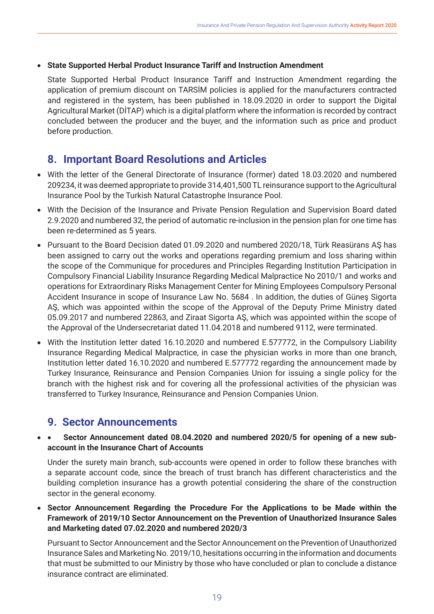### **State Supported Herbal Product Insurance Tariff and Instruction Amendment**

 State Supported Herbal Product Insurance Tariff and Instruction Amendment regarding the application of premium discount on TARSİM policies is applied for the manufacturers contracted and registered in the system, has been published in 18.09.2020 in order to support the Digital Agricultural Market (DİTAP) which is a digital platform where the information is recorded by contract concluded between the producer and the buyer, and the information such as price and product before production.

## **8. Important Board Resolutions and Articles**

- With the letter of the General Directorate of Insurance (former) dated 18.03.2020 and numbered 209234, it was deemed appropriate to provide 314,401,500 TL reinsurance support to the Agricultural Insurance Pool by the Turkish Natural Catastrophe Insurance Pool.
- With the Decision of the Insurance and Private Pension Regulation and Supervision Board dated 2.9.2020 and numbered 32, the period of automatic re-inclusion in the pension plan for one time has been re-determined as 5 years.
- Pursuant to the Board Decision dated 01.09.2020 and numbered 2020/18, Türk Reasürans AŞ has been assigned to carry out the works and operations regarding premium and loss sharing within the scope of the Communique for procedures and Principles Regarding Institution Participation in Compulsory Financial Liability Insurance Regarding Medical Malpractice No 2010/1 and works and operations for Extraordinary Risks Management Center for Mining Employees Compulsory Personal Accident Insurance in scope of Insurance Law No. 5684 . In addition, the duties of Güneş Sigorta AŞ, which was appointed within the scope of the Approval of the Deputy Prime Ministry dated 05.09.2017 and numbered 22863, and Ziraat Sigorta AŞ, which was appointed within the scope of the Approval of the Undersecretariat dated 11.04.2018 and numbered 9112, were terminated.
- With the Institution letter dated 16.10.2020 and numbered E.577772, in the Compulsory Liability Insurance Regarding Medical Malpractice, in case the physician works in more than one branch, Institution letter dated 16.10.2020 and numbered E.577772 regarding the announcement made by Turkey Insurance, Reinsurance and Pension Companies Union for issuing a single policy for the branch with the highest risk and for covering all the professional activities of the physician was transferred to Turkey Insurance, Reinsurance and Pension Companies Union.

## **9. Sector Announcements**

• • **Sector Announcement dated 08.04.2020 and numbered 2020/5 for opening of a new subaccount in the Insurance Chart of Accounts**

 Under the surety main branch, sub-accounts were opened in order to follow these branches with a separate account code, since the breach of trust branch has different characteristics and the building completion insurance has a growth potential considering the share of the construction sector in the general economy.

• **Sector Announcement Regarding the Procedure For the Applications to be Made within the Framework of 2019/10 Sector Announcement on the Prevention of Unauthorized Insurance Sales and Marketing dated 07.02.2020 and numbered 2020/3** 

 Pursuant to Sector Announcement and the Sector Announcement on the Prevention of Unauthorized Insurance Sales and Marketing No. 2019/10, hesitations occurring in the information and documents that must be submitted to our Ministry by those who have concluded or plan to conclude a distance insurance contract are eliminated.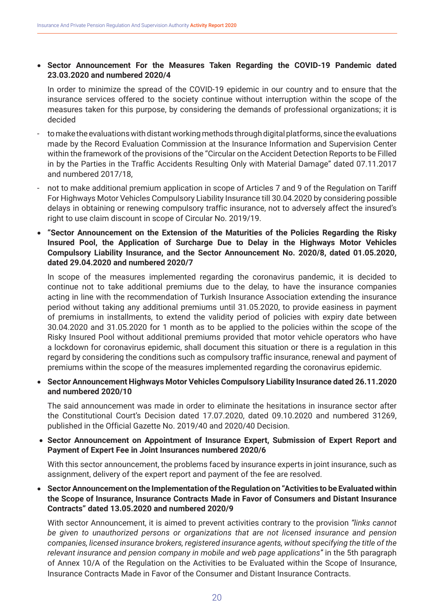### • **Sector Announcement For the Measures Taken Regarding the COVID-19 Pandemic dated 23.03.2020 and numbered 2020/4**

 In order to minimize the spread of the COVID-19 epidemic in our country and to ensure that the insurance services offered to the society continue without interruption within the scope of the measures taken for this purpose, by considering the demands of professional organizations; it is decided

- to make the evaluations with distant working methods through digital platforms, since the evaluations made by the Record Evaluation Commission at the Insurance Information and Supervision Center within the framework of the provisions of the "Circular on the Accident Detection Reports to be Filled in by the Parties in the Traffic Accidents Resulting Only with Material Damage" dated 07.11.2017 and numbered 2017/18,
- not to make additional premium application in scope of Articles 7 and 9 of the Regulation on Tariff For Highways Motor Vehicles Compulsory Liability Insurance till 30.04.2020 by considering possible delays in obtaining or renewing compulsory traffic insurance, not to adversely affect the insured's right to use claim discount in scope of Circular No. 2019/19.
- • **"Sector Announcement on the Extension of the Maturities of the Policies Regarding the Risky Insured Pool, the Application of Surcharge Due to Delay in the Highways Motor Vehicles Compulsory Liability Insurance, and the Sector Announcement No. 2020/8, dated 01.05.2020, dated 29.04.2020 and numbered 2020/7**

 In scope of the measures implemented regarding the coronavirus pandemic, it is decided to continue not to take additional premiums due to the delay, to have the insurance companies acting in line with the recommendation of Turkish Insurance Association extending the insurance period without taking any additional premiums until 31.05.2020, to provide easiness in payment of premiums in installments, to extend the validity period of policies with expiry date between 30.04.2020 and 31.05.2020 for 1 month as to be applied to the policies within the scope of the Risky Insured Pool without additional premiums provided that motor vehicle operators who have a lockdown for coronavirus epidemic, shall document this situation or there is a regulation in this regard by considering the conditions such as compulsory traffic insurance, renewal and payment of premiums within the scope of the measures implemented regarding the coronavirus epidemic.

• **Sector Announcement Highways Motor Vehicles Compulsory Liability Insurance dated 26.11.2020 and numbered 2020/10** 

 The said announcement was made in order to eliminate the hesitations in insurance sector after the Constitutional Court's Decision dated 17.07.2020, dated 09.10.2020 and numbered 31269, published in the Official Gazette No. 2019/40 and 2020/40 Decision.

• **Sector Announcement on Appointment of Insurance Expert, Submission of Expert Report and Payment of Expert Fee in Joint Insurances numbered 2020/6** 

 With this sector announcement, the problems faced by insurance experts in joint insurance, such as assignment, delivery of the expert report and payment of the fee are resolved.

• **Sector Announcement on the Implementation of the Regulation on "Activities to be Evaluated within the Scope of Insurance, Insurance Contracts Made in Favor of Consumers and Distant Insurance Contracts" dated 13.05.2020 and numbered 2020/9**

 With sector Announcement, it is aimed to prevent activities contrary to the provision *"links cannot be given to unauthorized persons or organizations that are not licensed insurance and pension companies, licensed insurance brokers, registered insurance agents, without specifying the title of the relevant insurance and pension company in mobile and web page applications"* in the 5th paragraph of Annex 10/A of the Regulation on the Activities to be Evaluated within the Scope of Insurance, Insurance Contracts Made in Favor of the Consumer and Distant Insurance Contracts.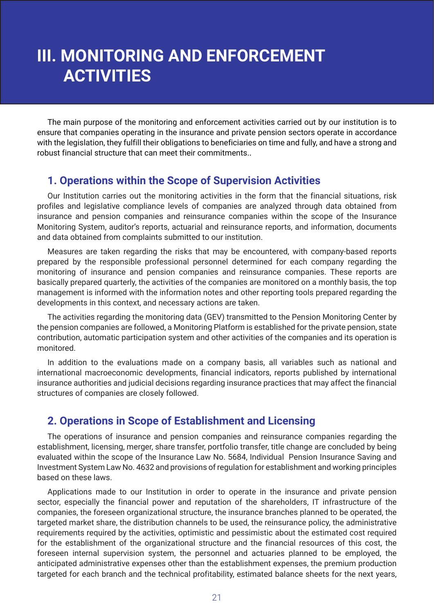# **III. MONITORING AND ENFORCEMENT ACTIVITIES**

The main purpose of the monitoring and enforcement activities carried out by our institution is to ensure that companies operating in the insurance and private pension sectors operate in accordance with the legislation, they fulfill their obligations to beneficiaries on time and fully, and have a strong and robust financial structure that can meet their commitments..

## **1. Operations within the Scope of Supervision Activities**

Our Institution carries out the monitoring activities in the form that the financial situations, risk profiles and legislative compliance levels of companies are analyzed through data obtained from insurance and pension companies and reinsurance companies within the scope of the Insurance Monitoring System, auditor's reports, actuarial and reinsurance reports, and information, documents and data obtained from complaints submitted to our institution.

Measures are taken regarding the risks that may be encountered, with company-based reports prepared by the responsible professional personnel determined for each company regarding the monitoring of insurance and pension companies and reinsurance companies. These reports are basically prepared quarterly, the activities of the companies are monitored on a monthly basis, the top management is informed with the information notes and other reporting tools prepared regarding the developments in this context, and necessary actions are taken.

The activities regarding the monitoring data (GEV) transmitted to the Pension Monitoring Center by the pension companies are followed, a Monitoring Platform is established for the private pension, state contribution, automatic participation system and other activities of the companies and its operation is monitored.

In addition to the evaluations made on a company basis, all variables such as national and international macroeconomic developments, financial indicators, reports published by international insurance authorities and judicial decisions regarding insurance practices that may affect the financial structures of companies are closely followed.

## **2. Operations in Scope of Establishment and Licensing**

The operations of insurance and pension companies and reinsurance companies regarding the establishment, licensing, merger, share transfer, portfolio transfer, title change are concluded by being evaluated within the scope of the Insurance Law No. 5684, Individual Pension Insurance Saving and Investment System Law No. 4632 and provisions of regulation for establishment and working principles based on these laws.

Applications made to our Institution in order to operate in the insurance and private pension sector, especially the financial power and reputation of the shareholders, IT infrastructure of the companies, the foreseen organizational structure, the insurance branches planned to be operated, the targeted market share, the distribution channels to be used, the reinsurance policy, the administrative requirements required by the activities, optimistic and pessimistic about the estimated cost required for the establishment of the organizational structure and the financial resources of this cost, the foreseen internal supervision system, the personnel and actuaries planned to be employed, the anticipated administrative expenses other than the establishment expenses, the premium production targeted for each branch and the technical profitability, estimated balance sheets for the next years,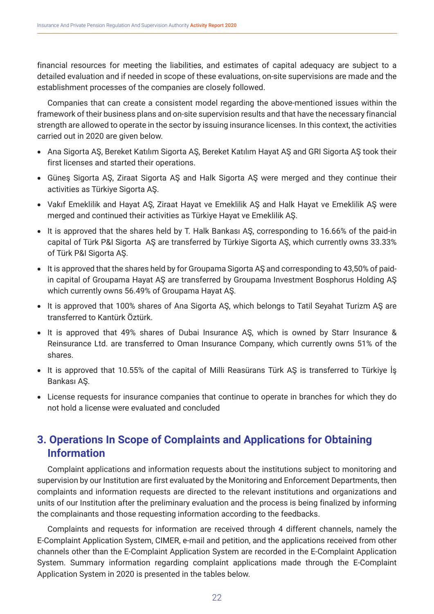financial resources for meeting the liabilities, and estimates of capital adequacy are subject to a detailed evaluation and if needed in scope of these evaluations, on-site supervisions are made and the establishment processes of the companies are closely followed.

Companies that can create a consistent model regarding the above-mentioned issues within the framework of their business plans and on-site supervision results and that have the necessary financial strength are allowed to operate in the sector by issuing insurance licenses. In this context, the activities carried out in 2020 are given below.

- Ana Sigorta AŞ, Bereket Katılım Sigorta AŞ, Bereket Katılım Hayat AŞ and GRI Sigorta AŞ took their first licenses and started their operations.
- Güneş Sigorta AŞ, Ziraat Sigorta AŞ and Halk Sigorta AŞ were merged and they continue their activities as Türkiye Sigorta AŞ.
- Vakıf Emeklilik and Hayat AŞ, Ziraat Hayat ve Emeklilik AŞ and Halk Hayat ve Emeklilik AŞ were merged and continued their activities as Türkiye Hayat ve Emeklilik AŞ.
- It is approved that the shares held by T. Halk Bankası AŞ, corresponding to 16.66% of the paid-in capital of Türk P&I Sigorta AŞ are transferred by Türkiye Sigorta AŞ, which currently owns 33.33% of Türk P&I Sigorta AŞ.
- It is approved that the shares held by for Groupama Sigorta AŞ and corresponding to 43,50% of paidin capital of Groupama Hayat AŞ are transferred by Groupama Investment Bosphorus Holding AŞ which currently owns 56.49% of Groupama Hayat AŞ.
- It is approved that 100% shares of Ana Sigorta AŞ, which belongs to Tatil Seyahat Turizm AŞ are transferred to Kantürk Öztürk.
- It is approved that 49% shares of Dubai Insurance AŞ, which is owned by Starr Insurance & Reinsurance Ltd. are transferred to Oman Insurance Company, which currently owns 51% of the shares.
- It is approved that 10.55% of the capital of Milli Reasürans Türk AŞ is transferred to Türkiye İş Bankası AŞ.
- License requests for insurance companies that continue to operate in branches for which they do not hold a license were evaluated and concluded

# **3. Operations In Scope of Complaints and Applications for Obtaining Information**

Complaint applications and information requests about the institutions subject to monitoring and supervision by our Institution are first evaluated by the Monitoring and Enforcement Departments, then complaints and information requests are directed to the relevant institutions and organizations and units of our Institution after the preliminary evaluation and the process is being finalized by informing the complainants and those requesting information according to the feedbacks.

Complaints and requests for information are received through 4 different channels, namely the E-Complaint Application System, CIMER, e-mail and petition, and the applications received from other channels other than the E-Complaint Application System are recorded in the E-Complaint Application System. Summary information regarding complaint applications made through the E-Complaint Application System in 2020 is presented in the tables below.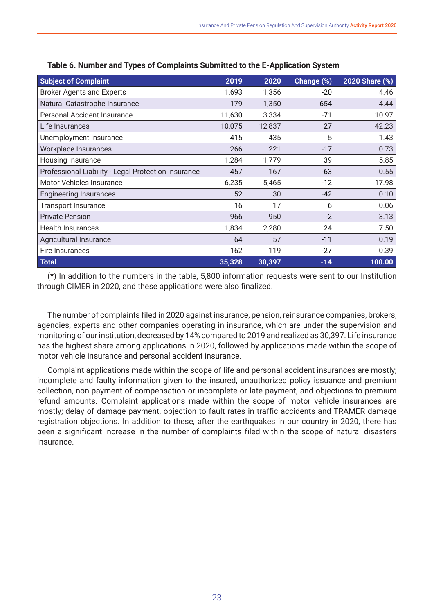| <b>Subject of Complaint</b>                         | 2019   | 2020   | Change (%) | 2020 Share (%) |
|-----------------------------------------------------|--------|--------|------------|----------------|
| <b>Broker Agents and Experts</b>                    | 1,693  | 1,356  | $-20$      | 4.46           |
| Natural Catastrophe Insurance                       | 179    | 1,350  | 654        | 4.44           |
| Personal Accident Insurance                         | 11,630 | 3,334  | $-71$      | 10.97          |
| Life Insurances                                     | 10,075 | 12,837 | 27         | 42.23          |
| Unemployment Insurance                              | 415    | 435    | 5          | 1.43           |
| Workplace Insurances                                | 266    | 221    | $-17$      | 0.73           |
| Housing Insurance                                   | 1,284  | 1,779  | 39         | 5.85           |
| Professional Liability - Legal Protection Insurance | 457    | 167    | $-63$      | 0.55           |
| Motor Vehicles Insurance                            | 6,235  | 5,465  | $-12$      | 17.98          |
| <b>Engineering Insurances</b>                       | 52     | 30     | $-42$      | 0.10           |
| <b>Transport Insurance</b>                          | 16     | 17     | 6          | 0.06           |
| <b>Private Pension</b>                              | 966    | 950    | $-2$       | 3.13           |
| <b>Health Insurances</b>                            | 1,834  | 2,280  | 24         | 7.50           |
| Agricultural Insurance                              | 64     | 57     | $-11$      | 0.19           |
| Fire Insurances                                     | 162    | 119    | $-27$      | 0.39           |
| <b>Total</b>                                        | 35,328 | 30,397 | $-14$      | 100.00         |

**Table 6. Number and Types of Complaints Submitted to the E-Application System**

(\*) In addition to the numbers in the table, 5,800 information requests were sent to our Institution through CIMER in 2020, and these applications were also finalized.

The number of complaints filed in 2020 against insurance, pension, reinsurance companies, brokers, agencies, experts and other companies operating in insurance, which are under the supervision and monitoring of our institution, decreased by 14% compared to 2019 and realized as 30,397. Life insurance has the highest share among applications in 2020, followed by applications made within the scope of motor vehicle insurance and personal accident insurance.

Complaint applications made within the scope of life and personal accident insurances are mostly; incomplete and faulty information given to the insured, unauthorized policy issuance and premium collection, non-payment of compensation or incomplete or late payment, and objections to premium refund amounts. Complaint applications made within the scope of motor vehicle insurances are mostly; delay of damage payment, objection to fault rates in traffic accidents and TRAMER damage registration objections. In addition to these, after the earthquakes in our country in 2020, there has been a significant increase in the number of complaints filed within the scope of natural disasters insurance.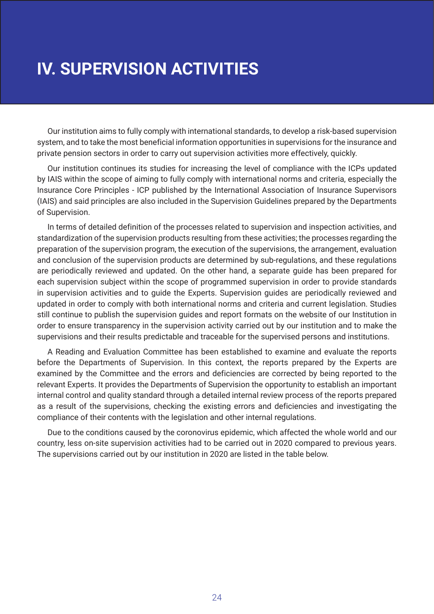# **IV. SUPERVISION ACTIVITIES**

Our institution aims to fully comply with international standards, to develop a risk-based supervision system, and to take the most beneficial information opportunities in supervisions for the insurance and private pension sectors in order to carry out supervision activities more effectively, quickly.

Our institution continues its studies for increasing the level of compliance with the ICPs updated by IAIS within the scope of aiming to fully comply with international norms and criteria, especially the Insurance Core Principles - ICP published by the International Association of Insurance Supervisors (IAIS) and said principles are also included in the Supervision Guidelines prepared by the Departments of Supervision.

In terms of detailed definition of the processes related to supervision and inspection activities, and standardization of the supervision products resulting from these activities; the processes regarding the preparation of the supervision program, the execution of the supervisions, the arrangement, evaluation and conclusion of the supervision products are determined by sub-regulations, and these regulations are periodically reviewed and updated. On the other hand, a separate guide has been prepared for each supervision subject within the scope of programmed supervision in order to provide standards in supervision activities and to guide the Experts. Supervision guides are periodically reviewed and updated in order to comply with both international norms and criteria and current legislation. Studies still continue to publish the supervision guides and report formats on the website of our Institution in order to ensure transparency in the supervision activity carried out by our institution and to make the supervisions and their results predictable and traceable for the supervised persons and institutions.

A Reading and Evaluation Committee has been established to examine and evaluate the reports before the Departments of Supervision. In this context, the reports prepared by the Experts are examined by the Committee and the errors and deficiencies are corrected by being reported to the relevant Experts. It provides the Departments of Supervision the opportunity to establish an important internal control and quality standard through a detailed internal review process of the reports prepared as a result of the supervisions, checking the existing errors and deficiencies and investigating the compliance of their contents with the legislation and other internal regulations.

Due to the conditions caused by the coronovirus epidemic, which affected the whole world and our country, less on-site supervision activities had to be carried out in 2020 compared to previous years. The supervisions carried out by our institution in 2020 are listed in the table below.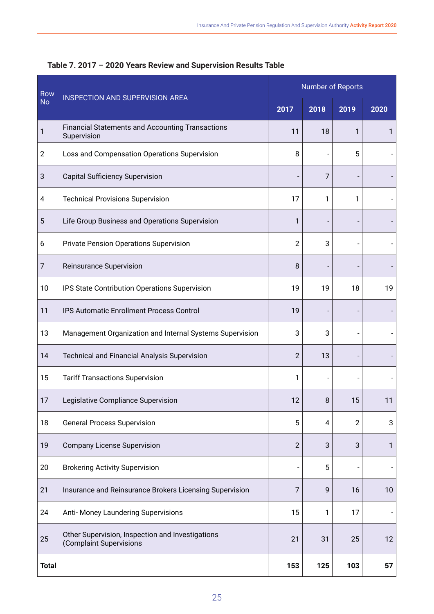| Row            | <b>INSPECTION AND SUPERVISION AREA</b>                                      | Number of Reports |      |                |              |
|----------------|-----------------------------------------------------------------------------|-------------------|------|----------------|--------------|
| <b>No</b>      |                                                                             |                   | 2018 | 2019           | 2020         |
| 1              | Financial Statements and Accounting Transactions<br>Supervision             | 11                | 18   | 1              | $\mathbf{1}$ |
| $\overline{2}$ | Loss and Compensation Operations Supervision                                | 8                 |      | 5              |              |
| 3              | <b>Capital Sufficiency Supervision</b>                                      |                   | 7    |                |              |
| 4              | <b>Technical Provisions Supervision</b>                                     | 17                | 1    | 1              |              |
| 5              | Life Group Business and Operations Supervision                              | 1                 |      |                |              |
| 6              | <b>Private Pension Operations Supervision</b>                               | 2                 | 3    |                |              |
| $\overline{7}$ | Reinsurance Supervision                                                     | 8                 |      |                |              |
| 10             | IPS State Contribution Operations Supervision                               | 19                | 19   | 18             | 19           |
| 11             | IPS Automatic Enrollment Process Control                                    | 19                |      |                |              |
| 13             | Management Organization and Internal Systems Supervision                    |                   | 3    |                |              |
| 14             | <b>Technical and Financial Analysis Supervision</b>                         | 2                 | 13   |                |              |
| 15             | <b>Tariff Transactions Supervision</b>                                      | 1                 |      |                |              |
| 17             | Legislative Compliance Supervision                                          | 12                | 8    | 15             | 11           |
| 18             | <b>General Process Supervision</b>                                          | 5                 | 4    | $\overline{2}$ | 3            |
| 19             | <b>Company License Supervision</b>                                          | 2                 | 3    | 3              | 1            |
| 20             | <b>Brokering Activity Supervision</b>                                       |                   | 5    |                |              |
| 21             | Insurance and Reinsurance Brokers Licensing Supervision                     |                   | 9    | 16             | 10           |
| 24             | Anti- Money Laundering Supervisions                                         | 15                | 1    | 17             |              |
| 25             | Other Supervision, Inspection and Investigations<br>(Complaint Supervisions |                   | 31   | 25             | 12           |
| <b>Total</b>   |                                                                             | 153               | 125  | 103            | 57           |

**Table 7. 2017 – 2020 Years Review and Supervision Results Table**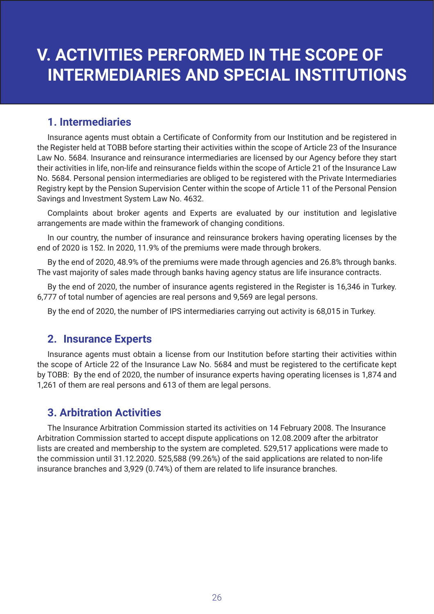# **V. ACTIVITIES PERFORMED IN THE SCOPE OF INTERMEDIARIES AND SPECIAL INSTITUTIONS**

## **1. Intermediaries**

Insurance agents must obtain a Certificate of Conformity from our Institution and be registered in the Register held at TOBB before starting their activities within the scope of Article 23 of the Insurance Law No. 5684. Insurance and reinsurance intermediaries are licensed by our Agency before they start their activities in life, non-life and reinsurance fields within the scope of Article 21 of the Insurance Law No. 5684. Personal pension intermediaries are obliged to be registered with the Private Intermediaries Registry kept by the Pension Supervision Center within the scope of Article 11 of the Personal Pension Savings and Investment System Law No. 4632.

Complaints about broker agents and Experts are evaluated by our institution and legislative arrangements are made within the framework of changing conditions.

In our country, the number of insurance and reinsurance brokers having operating licenses by the end of 2020 is 152. In 2020, 11.9% of the premiums were made through brokers.

By the end of 2020, 48.9% of the premiums were made through agencies and 26.8% through banks. The vast majority of sales made through banks having agency status are life insurance contracts.

By the end of 2020, the number of insurance agents registered in the Register is 16,346 in Turkey. 6,777 of total number of agencies are real persons and 9,569 are legal persons.

By the end of 2020, the number of IPS intermediaries carrying out activity is 68,015 in Turkey.

## **2. Insurance Experts**

Insurance agents must obtain a license from our Institution before starting their activities within the scope of Article 22 of the Insurance Law No. 5684 and must be registered to the certificate kept by TOBB: By the end of 2020, the number of insurance experts having operating licenses is 1,874 and 1,261 of them are real persons and 613 of them are legal persons.

## **3. Arbitration Activities**

The Insurance Arbitration Commission started its activities on 14 February 2008. The Insurance Arbitration Commission started to accept dispute applications on 12.08.2009 after the arbitrator lists are created and membership to the system are completed. 529,517 applications were made to the commission until 31.12.2020. 525,588 (99.26%) of the said applications are related to non-life insurance branches and 3,929 (0.74%) of them are related to life insurance branches.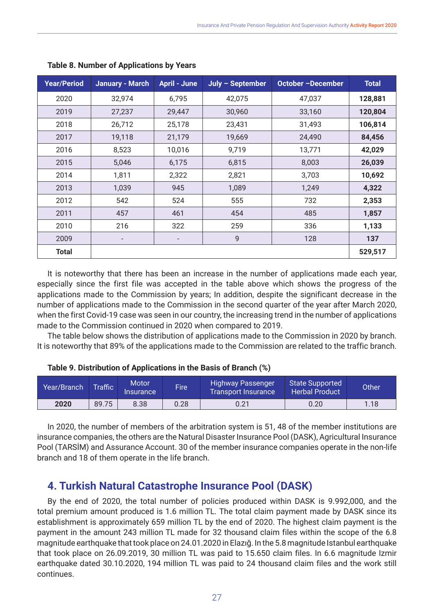| <b>Year/Period</b> | <b>January - March</b>   | <b>April - June</b>      | July - September | October -December | <b>Total</b> |
|--------------------|--------------------------|--------------------------|------------------|-------------------|--------------|
| 2020               | 32,974                   | 6,795                    | 42,075           | 47,037            | 128,881      |
| 2019               | 27,237                   | 29,447                   | 30,960           | 33,160            | 120,804      |
| 2018               | 26,712                   | 25,178                   | 23,431           | 31,493            | 106,814      |
| 2017               | 19,118                   | 21,179                   | 19,669           | 24,490            | 84,456       |
| 2016               | 8,523                    | 10,016                   | 9,719            | 13,771            | 42,029       |
| 2015               | 5,046                    | 6,175                    | 6,815            | 8,003             | 26,039       |
| 2014               | 1,811                    | 2,322                    | 2,821            | 3,703             | 10,692       |
| 2013               | 1,039                    | 945                      | 1,089            | 1,249             | 4,322        |
| 2012               | 542                      | 524                      | 555              | 732               | 2,353        |
| 2011               | 457                      | 461                      | 454              | 485               | 1,857        |
| 2010               | 216                      | 322                      | 259              | 336               | 1,133        |
| 2009               | $\overline{\phantom{a}}$ | $\overline{\phantom{a}}$ | 9                | 128               | 137          |
| <b>Total</b>       |                          |                          |                  |                   | 529,517      |

#### **Table 8. Number of Applications by Years**

It is noteworthy that there has been an increase in the number of applications made each year, especially since the first file was accepted in the table above which shows the progress of the applications made to the Commission by years; In addition, despite the significant decrease in the number of applications made to the Commission in the second quarter of the year after March 2020, when the first Covid-19 case was seen in our country, the increasing trend in the number of applications made to the Commission continued in 2020 when compared to 2019.

The table below shows the distribution of applications made to the Commission in 2020 by branch. It is noteworthy that 89% of the applications made to the Commission are related to the traffic branch.

| Table 9. Distribution of Applications in the Basis of Branch (%) |  |  |  |
|------------------------------------------------------------------|--|--|--|
|------------------------------------------------------------------|--|--|--|

| Year/Branch | <b>Traffic</b> | <b>Motor</b><br><i>Insurance</i> | <b>Fire</b> | <b>Highway Passenger</b><br>Transport Insurance ' | State Supported<br><b>Herbal Product</b> | Other |
|-------------|----------------|----------------------------------|-------------|---------------------------------------------------|------------------------------------------|-------|
| 2020        | 89.75          | 8.38                             | 0.28        | 0.21                                              | 0.20                                     | 1.18  |

In 2020, the number of members of the arbitration system is 51, 48 of the member institutions are insurance companies, the others are the Natural Disaster Insurance Pool (DASK), Agricultural Insurance Pool (TARSİM) and Assurance Account. 30 of the member insurance companies operate in the non-life branch and 18 of them operate in the life branch.

## **4. Turkish Natural Catastrophe Insurance Pool (DASK)**

By the end of 2020, the total number of policies produced within DASK is 9.992,000, and the total premium amount produced is 1.6 million TL. The total claim payment made by DASK since its establishment is approximately 659 million TL by the end of 2020. The highest claim payment is the payment in the amount 243 million TL made for 32 thousand claim files within the scope of the 6.8 magnitude earthquake that took place on 24.01.2020 in Elazığ. In the 5.8 magnitude Istanbul earthquake that took place on 26.09.2019, 30 million TL was paid to 15.650 claim files. In 6.6 magnitude Izmir earthquake dated 30.10.2020, 194 million TL was paid to 24 thousand claim files and the work still continues.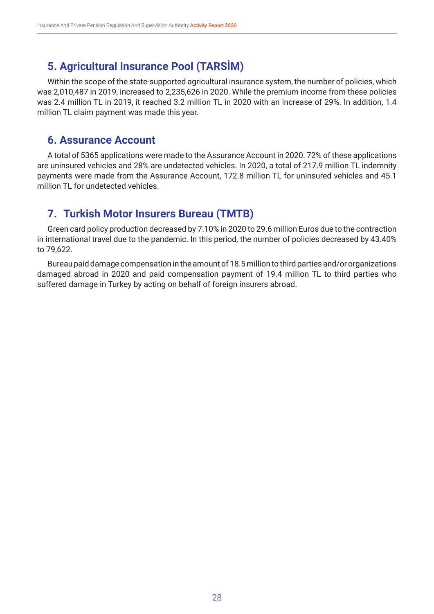## **5. Agricultural Insurance Pool (TARSİM)**

Within the scope of the state-supported agricultural insurance system, the number of policies, which was 2,010,487 in 2019, increased to 2,235,626 in 2020. While the premium income from these policies was 2.4 million TL in 2019, it reached 3.2 million TL in 2020 with an increase of 29%. In addition, 1.4 million TL claim payment was made this year.

## **6. Assurance Account**

A total of 5365 applications were made to the Assurance Account in 2020. 72% of these applications are uninsured vehicles and 28% are undetected vehicles. In 2020, a total of 217.9 million TL indemnity payments were made from the Assurance Account, 172.8 million TL for uninsured vehicles and 45.1 million TL for undetected vehicles.

## **7. Turkish Motor Insurers Bureau (TMTB)**

Green card policy production decreased by 7.10% in 2020 to 29.6 million Euros due to the contraction in international travel due to the pandemic. In this period, the number of policies decreased by 43.40% to 79,622.

Bureau paid damage compensation in the amount of 18.5 million to third parties and/or organizations damaged abroad in 2020 and paid compensation payment of 19.4 million TL to third parties who suffered damage in Turkey by acting on behalf of foreign insurers abroad.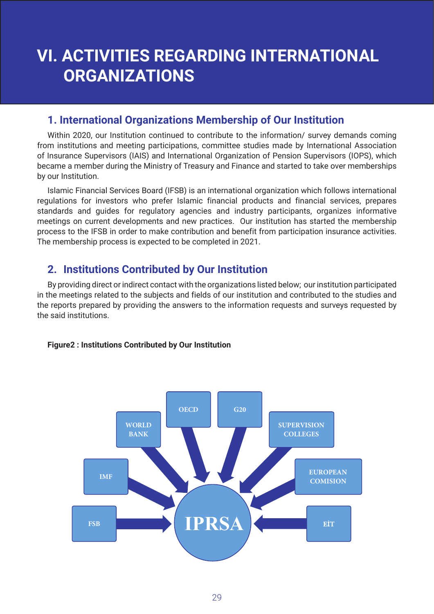# **VI. ACTIVITIES REGARDING INTERNATIONAL ORGANIZATIONS**

## **1. International Organizations Membership of Our Institution**

Within 2020, our Institution continued to contribute to the information/ survey demands coming from institutions and meeting participations, committee studies made by International Association of Insurance Supervisors (IAIS) and International Organization of Pension Supervisors (IOPS), which became a member during the Ministry of Treasury and Finance and started to take over memberships by our Institution.

Islamic Financial Services Board (IFSB) is an international organization which follows international regulations for investors who prefer Islamic financial products and financial services, prepares standards and guides for regulatory agencies and industry participants, organizes informative meetings on current developments and new practices. Our institution has started the membership process to the IFSB in order to make contribution and benefit from participation insurance activities. The membership process is expected to be completed in 2021.

## **2. Institutions Contributed by Our Institution**

By providing direct or indirect contact with the organizations listed below; our institution participated in the meetings related to the subjects and fields of our institution and contributed to the studies and the reports prepared by providing the answers to the information requests and surveys requested by the said institutions.

## **Figure2 : Institutions Contributed by Our Institution**

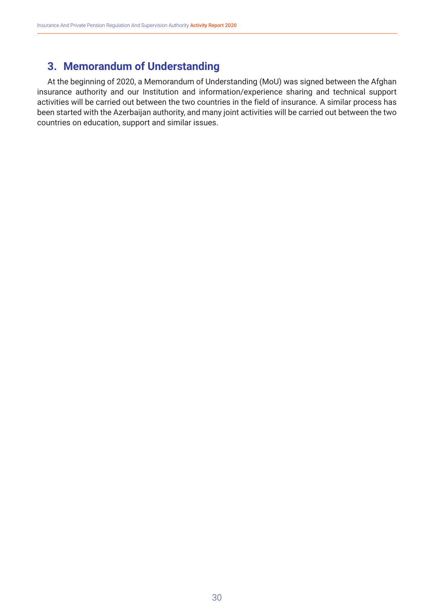## **3. Memorandum of Understanding**

At the beginning of 2020, a Memorandum of Understanding (MoU) was signed between the Afghan insurance authority and our Institution and information/experience sharing and technical support activities will be carried out between the two countries in the field of insurance. A similar process has been started with the Azerbaijan authority, and many joint activities will be carried out between the two countries on education, support and similar issues.